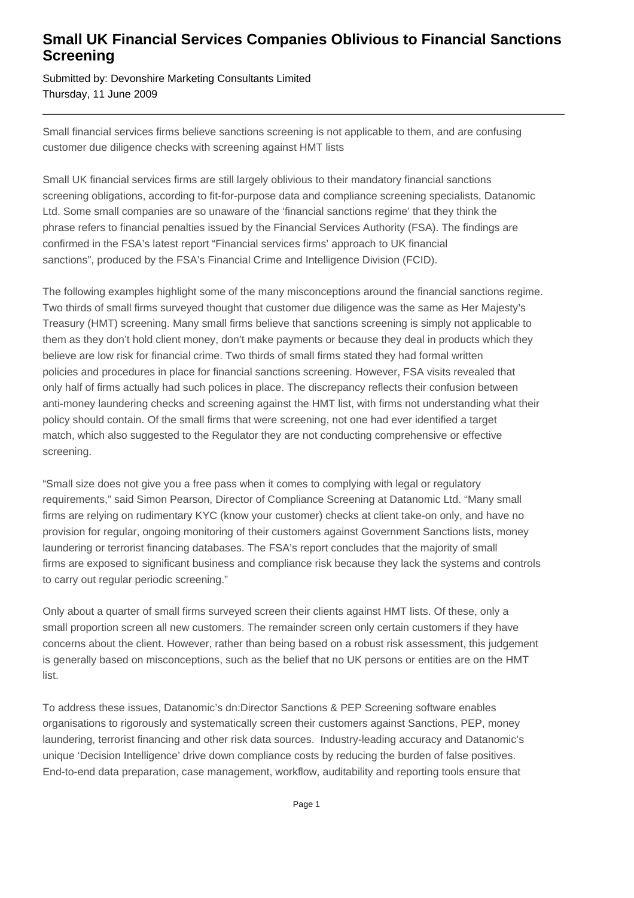## **Small UK Financial Services Companies Oblivious to Financial Sanctions Screening**

Submitted by: Devonshire Marketing Consultants Limited Thursday, 11 June 2009

Small financial services firms believe sanctions screening is not applicable to them, and are confusing customer due diligence checks with screening against HMT lists

Small UK financial services firms are still largely oblivious to their mandatory financial sanctions screening obligations, according to fit-for-purpose data and compliance screening specialists, Datanomic Ltd. Some small companies are so unaware of the 'financial sanctions regime' that they think the phrase refers to financial penalties issued by the Financial Services Authority (FSA). The findings are confirmed in the FSA's latest report "Financial services firms' approach to UK financial sanctions", produced by the FSA's Financial Crime and Intelligence Division (FCID).

The following examples highlight some of the many misconceptions around the financial sanctions regime. Two thirds of small firms surveyed thought that customer due diligence was the same as Her Majesty's Treasury (HMT) screening. Many small firms believe that sanctions screening is simply not applicable to them as they don't hold client money, don't make payments or because they deal in products which they believe are low risk for financial crime. Two thirds of small firms stated they had formal written policies and procedures in place for financial sanctions screening. However, FSA visits revealed that only half of firms actually had such polices in place. The discrepancy reflects their confusion between anti-money laundering checks and screening against the HMT list, with firms not understanding what their policy should contain. Of the small firms that were screening, not one had ever identified a target match, which also suggested to the Regulator they are not conducting comprehensive or effective screening.

"Small size does not give you a free pass when it comes to complying with legal or regulatory requirements," said Simon Pearson, Director of Compliance Screening at Datanomic Ltd. "Many small firms are relying on rudimentary KYC (know your customer) checks at client take-on only, and have no provision for regular, ongoing monitoring of their customers against Government Sanctions lists, money laundering or terrorist financing databases. The FSA's report concludes that the majority of small firms are exposed to significant business and compliance risk because they lack the systems and controls to carry out regular periodic screening."

Only about a quarter of small firms surveyed screen their clients against HMT lists. Of these, only a small proportion screen all new customers. The remainder screen only certain customers if they have concerns about the client. However, rather than being based on a robust risk assessment, this judgement is generally based on misconceptions, such as the belief that no UK persons or entities are on the HMT list.

To address these issues, Datanomic's dn:Director Sanctions & PEP Screening software enables organisations to rigorously and systematically screen their customers against Sanctions, PEP, money laundering, terrorist financing and other risk data sources. Industry-leading accuracy and Datanomic's unique 'Decision Intelligence' drive down compliance costs by reducing the burden of false positives. End-to-end data preparation, case management, workflow, auditability and reporting tools ensure that